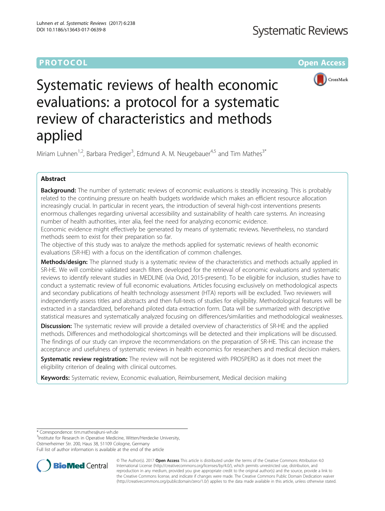# **PROTOCOL CONSUMING THE CONSUMING TEACHER CONSUMING THE CONSUMING TEACHER CONSUMING THE CONSUMING TEACHER CONSUMING**



Systematic reviews of health economic evaluations: a protocol for a systematic review of characteristics and methods applied

Miriam Luhnen<sup>1,2</sup>, Barbara Prediger<sup>3</sup>, Edmund A. M. Neugebauer<sup>4,5</sup> and Tim Mathes<sup>3\*</sup>

## Abstract

Background: The number of systematic reviews of economic evaluations is steadily increasing. This is probably related to the continuing pressure on health budgets worldwide which makes an efficient resource allocation increasingly crucial. In particular in recent years, the introduction of several high-cost interventions presents enormous challenges regarding universal accessibility and sustainability of health care systems. An increasing number of health authorities, inter alia, feel the need for analyzing economic evidence.

Economic evidence might effectively be generated by means of systematic reviews. Nevertheless, no standard methods seem to exist for their preparation so far.

The objective of this study was to analyze the methods applied for systematic reviews of health economic evaluations (SR-HE) with a focus on the identification of common challenges.

**Methods/design:** The planned study is a systematic review of the characteristics and methods actually applied in SR-HE. We will combine validated search filters developed for the retrieval of economic evaluations and systematic reviews to identify relevant studies in MEDLINE (via Ovid, 2015-present). To be eligible for inclusion, studies have to conduct a systematic review of full economic evaluations. Articles focusing exclusively on methodological aspects and secondary publications of health technology assessment (HTA) reports will be excluded. Two reviewers will independently assess titles and abstracts and then full-texts of studies for eligibility. Methodological features will be extracted in a standardized, beforehand piloted data extraction form. Data will be summarized with descriptive statistical measures and systematically analyzed focusing on differences/similarities and methodological weaknesses.

**Discussion:** The systematic review will provide a detailed overview of characteristics of SR-HE and the applied methods. Differences and methodological shortcomings will be detected and their implications will be discussed. The findings of our study can improve the recommendations on the preparation of SR-HE. This can increase the acceptance and usefulness of systematic reviews in health economics for researchers and medical decision makers.

Systematic review registration: The review will not be registered with PROSPERO as it does not meet the eligibility criterion of dealing with clinical outcomes.

Keywords: Systematic review, Economic evaluation, Reimbursement, Medical decision making

\* Correspondence: [tim.mathes@uni-wh.de](mailto:tim.mathes@uni-wh.de) <sup>3</sup>

<sup>3</sup>Institute for Research in Operative Medicine, Witten/Herdecke University, Ostmerheimer Str. 200, Haus 38, 51109 Cologne, Germany

Full list of author information is available at the end of the article



© The Author(s). 2017 **Open Access** This article is distributed under the terms of the Creative Commons Attribution 4.0 International License [\(http://creativecommons.org/licenses/by/4.0/](http://creativecommons.org/licenses/by/4.0/)), which permits unrestricted use, distribution, and reproduction in any medium, provided you give appropriate credit to the original author(s) and the source, provide a link to the Creative Commons license, and indicate if changes were made. The Creative Commons Public Domain Dedication waiver [\(http://creativecommons.org/publicdomain/zero/1.0/](http://creativecommons.org/publicdomain/zero/1.0/)) applies to the data made available in this article, unless otherwise stated.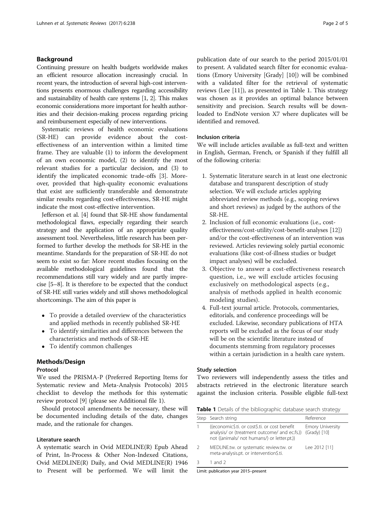#### Background

Continuing pressure on health budgets worldwide makes an efficient resource allocation increasingly crucial. In recent years, the introduction of several high-cost interventions presents enormous challenges regarding accessibility and sustainability of health care systems [\[1, 2\]](#page-3-0). This makes economic considerations more important for health authorities and their decision-making process regarding pricing and reimbursement especially of new interventions.

Systematic reviews of health economic evaluations (SR-HE) can provide evidence about the costeffectiveness of an intervention within a limited time frame. They are valuable (1) to inform the development of an own economic model, (2) to identify the most relevant studies for a particular decision, and (3) to identify the implicated economic trade-offs [[3](#page-4-0)]. Moreover, provided that high-quality economic evaluations that exist are sufficiently transferable and demonstrate similar results regarding cost-effectiveness, SR-HE might indicate the most cost-effective intervention.

Jefferson et al. [[4\]](#page-4-0) found that SR-HE show fundamental methodological flaws, especially regarding their search strategy and the application of an appropriate quality assessment tool. Nevertheless, little research has been performed to further develop the methods for SR-HE in the meantime. Standards for the preparation of SR-HE do not seem to exist so far: More recent studies focusing on the available methodological guidelines found that the recommendations still vary widely and are partly imprecise [[5](#page-4-0)–[8](#page-4-0)]. It is therefore to be expected that the conduct of SR-HE still varies widely and still shows methodological shortcomings. The aim of this paper is

- To provide a detailed overview of the characteristics and applied methods in recently published SR-HE
- To identify similarities and differences between the characteristics and methods of SR-HE
- To identify common challenges

#### Methods/Design

#### Protocol

We used the PRISMA-P (Preferred Reporting Items for Systematic review and Meta-Analysis Protocols) 2015 checklist to develop the methods for this systematic review protocol [[9](#page-4-0)] (please see Additional file [1](#page-3-0)).

Should protocol amendments be necessary, these will be documented including details of the date, changes made, and the rationale for changes.

### Literature search

A systematic search in Ovid MEDLINE(R) Epub Ahead of Print, In-Process & Other Non-Indexed Citations, Ovid MEDLINE(R) Daily, and Ovid MEDLINE(R) 1946 to Present will be performed. We will limit the publication date of our search to the period 2015/01/01 to present. A validated search filter for economic evaluations (Emory University [Grady] [\[10](#page-4-0)]) will be combined with a validated filter for the retrieval of systematic reviews (Lee [\[11](#page-4-0)]), as presented in Table 1. This strategy was chosen as it provides an optimal balance between sensitivity and precision. Search results will be downloaded to EndNote version X7 where duplicates will be identified and removed.

## Inclusion criteria

We will include articles available as full-text and written in English, German, French, or Spanish if they fulfill all of the following criteria:

- 1. Systematic literature search in at least one electronic database and transparent description of study selection. We will exclude articles applying abbreviated review methods (e.g., scoping reviews and short reviews) as judged by the authors of the SR-HE.
- 2. Inclusion of full economic evaluations (i.e., costeffectiveness/cost-utility/cost-benefit-analyses [[12](#page-4-0)]) and/or the cost-effectiveness of an intervention was reviewed. Articles reviewing solely partial economic evaluations (like cost-of-illness studies or budget impact analyses) will be excluded.
- 3. Objective to answer a cost-effectiveness research question, i.e., we will exclude articles focusing exclusively on methodological aspects (e.g., analysis of methods applied in health economic modeling studies).
- 4. Full-text journal article. Protocols, commentaries, editorials, and conference proceedings will be excluded. Likewise, secondary publications of HTA reports will be excluded as the focus of our study will be on the scientific literature instead of documents stemming from regulatory processes within a certain jurisdiction in a health care system.

#### Study selection

Two reviewers will independently assess the titles and abstracts retrieved in the electronic literature search against the inclusion criteria. Possible eligible full-text

| Table 1 Details of the bibliographic database search strategy |  |
|---------------------------------------------------------------|--|
|---------------------------------------------------------------|--|

| Step Search string                                                                                                                              | Reference                                 |
|-------------------------------------------------------------------------------------------------------------------------------------------------|-------------------------------------------|
| ((economic\$.ti. or cost\$.ti. or cost benefit)<br>analysis/ or (treatment outcome/ and ec.fs.))<br>not ((animals/ not humans/) or letter.pt.)) | <b>Emory University</b><br>$(Gradv)$ [10] |
| MEDLINE.tw. or systematic review.tw. or<br>meta-analysis.pt. or intervention\$.ti.                                                              | Lee 2012 [11]                             |
| 1 and $2$                                                                                                                                       |                                           |

Limit: publication year 2015–present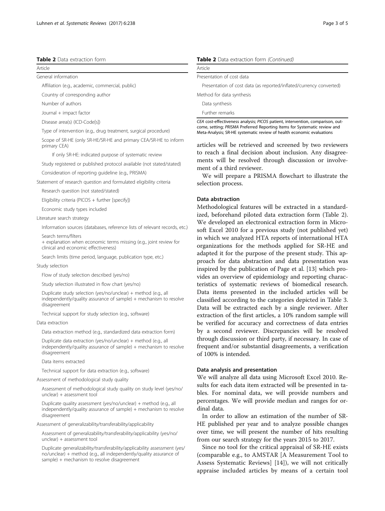#### Table 2 Data extraction form

| Article                                                                                                                 | Article<br>Presentation of cost data                                                                                                                                                                                                 |  |  |
|-------------------------------------------------------------------------------------------------------------------------|--------------------------------------------------------------------------------------------------------------------------------------------------------------------------------------------------------------------------------------|--|--|
| General information                                                                                                     |                                                                                                                                                                                                                                      |  |  |
| Affiliation (e.g., academic, commercial, public)                                                                        | Presentation of cost data (as reported/inflated/currency converted)                                                                                                                                                                  |  |  |
| Country of corresponding author                                                                                         | Method for data synthesis<br>Data synthesis                                                                                                                                                                                          |  |  |
| Number of authors                                                                                                       |                                                                                                                                                                                                                                      |  |  |
| Journal + impact factor                                                                                                 | Further remarks                                                                                                                                                                                                                      |  |  |
| Disease area(s) (ICD-Code[s])                                                                                           | CEA cost-effectiveness analysis; PICOS patient, intervention, comparison, out-<br>come, setting; PRISMA Preferred Reporting Items for Systematic review and<br>Meta-Analysis; SR-HE systematic review of health economic evaluations |  |  |
| Type of intervention (e.g., drug treatment, surgical procedure)                                                         |                                                                                                                                                                                                                                      |  |  |
| $C_1, \ldots, C_{n}$ on the $I_1, \ldots, C_{n}$ on the $IC_1$ on the $\ldots, C_{n}$ of $C_{n}$ on the $\ldots, C_{n}$ |                                                                                                                                                                                                                                      |  |  |

Scope of SR-HE (only SR-HE/SR-HE and primary CEA/SR-HE to inform primary CEA)

If only SR-HE: indicated purpose of systematic review

Study registered or published protocol available (not stated/stated)

Consideration of reporting guideline (e.g., PRISMA)

Statement of research question and formulated eligibility criteria

Research question (not stated/stated)

Eligibility criteria (PICOS + further [specify])

Economic study types included

#### Literature search strategy

Information sources (databases, reference lists of relevant records, etc.) Search terms/filters

+ explanation when economic terms missing (e.g., joint review for clinical and economic effectiveness)

Search limits (time period, language, publication type, etc.)

Study selection

Flow of study selection described (yes/no)

Study selection illustrated in flow chart (yes/no)

Duplicate study selection (yes/no/unclear) + method (e.g., all independently/quality assurance of sample) + mechanism to resolve disagreement

Technical support for study selection (e.g., software)

Data extraction

Data extraction method (e.g., standardized data extraction form)

Duplicate data extraction (yes/no/unclear) + method (e.g., all independently/quality assurance of sample) + mechanism to resolve disagreement

Data items extracted

Technical support for data extraction (e.g., software)

Assessment of methodological study quality

Assessment of methodological study quality on study level (yes/no/ unclear) + assessment tool

Duplicate quality assessment (yes/no/unclear) + method (e.g., all independently/quality assurance of sample) + mechanism to resolve disagreement

Assessment of generalizability/transferability/applicability

Assessment of generalizability/transferability/applicability (yes/no/ unclear) + assessment tool

Duplicate generalizability/transferability/applicability assessment (yes/ no/unclear) + method (e.g., all independently/quality assurance of sample) + mechanism to resolve disagreement

| Article                                                                        |
|--------------------------------------------------------------------------------|
| Presentation of cost data                                                      |
| Presentation of cost data (as reported/inflated/currency converted)            |
| Method for data synthesis                                                      |
| Data synthesis                                                                 |
| <b>Further remarks</b>                                                         |
| CEA cost-effectiveness analysis; PICOS patient, intervention, comparison, out- |

articles will be retrieved and screened by two reviewers to reach a final decision about inclusion. Any disagreements will be resolved through discussion or involvement of a third reviewer.

We will prepare a PRISMA flowchart to illustrate the selection process.

#### Data abstraction

Methodological features will be extracted in a standardized, beforehand piloted data extraction form (Table 2). We developed an electronical extraction form in Microsoft Excel 2010 for a previous study (not published yet) in which we analyzed HTA reports of international HTA organizations for the methods applied for SR-HE and adapted it for the purpose of the present study. This approach for data abstraction and data presentation was inspired by the publication of Page et al. [\[13](#page-4-0)] which provides an overview of epidemiology and reporting characteristics of systematic reviews of biomedical research. Data items presented in the included articles will be classified according to the categories depicted in Table [3](#page-3-0). Data will be extracted each by a single reviewer. After extraction of the first articles, a 10% random sample will be verified for accuracy and correctness of data entries by a second reviewer. Discrepancies will be resolved through discussion or third party, if necessary. In case of frequent and/or substantial disagreements, a verification of 100% is intended.

#### Data analysis and presentation

We will analyze all data using Microsoft Excel 2010. Results for each data item extracted will be presented in tables. For nominal data, we will provide numbers and percentages. We will provide median and ranges for ordinal data.

In order to allow an estimation of the number of SR-HE published per year and to analyze possible changes over time, we will present the number of hits resulting from our search strategy for the years 2015 to 2017.

Since no tool for the critical appraisal of SR-HE exists (comparable e.g., to AMSTAR [A Measurement Tool to Assess Systematic Reviews] [[14\]](#page-4-0)), we will not critically appraise included articles by means of a certain tool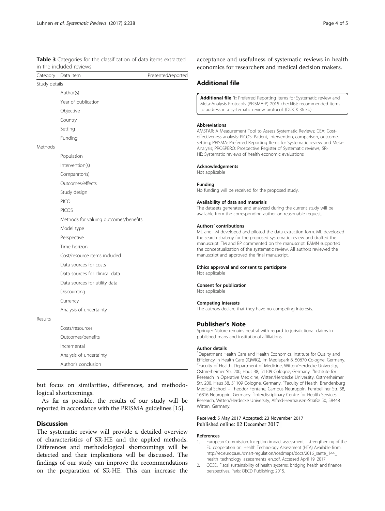<span id="page-3-0"></span>

|                         | Table 3 Categories for the classification of data items extracted |  |  |
|-------------------------|-------------------------------------------------------------------|--|--|
| in the included reviews |                                                                   |  |  |

|               |                                       |                    | onomics for researchers and med                                                                                                               |  |  |
|---------------|---------------------------------------|--------------------|-----------------------------------------------------------------------------------------------------------------------------------------------|--|--|
| Category      | Data item                             | Presented/reported |                                                                                                                                               |  |  |
| Study details |                                       |                    | <b>Additional file</b>                                                                                                                        |  |  |
|               | Author(s)                             |                    | <b>Additional file 1: Preferred Reporting Items</b>                                                                                           |  |  |
|               | Year of publication                   |                    | Meta-Analysis Protocols (PRISMA-P) 2015 che                                                                                                   |  |  |
|               | Objective                             |                    | to address in a systematic review protocol. (D                                                                                                |  |  |
|               | Country                               |                    | <b>Abbreviations</b>                                                                                                                          |  |  |
|               | Setting                               |                    | AMSTAR: A Measurement Tool to Assess Syster                                                                                                   |  |  |
|               | Funding                               |                    | effectiveness analysis; PICOS: Patient, interventi<br>setting; PRISMA: Preferred Reporting Items for !                                        |  |  |
| Methods       |                                       |                    | Analysis; PROSPERO: Prospective Register of Sy!                                                                                               |  |  |
|               | Population                            |                    | HE: Systematic reviews of health economic eva                                                                                                 |  |  |
|               | Intervention(s)                       |                    | Acknowledgements                                                                                                                              |  |  |
|               | Comparator(s)                         |                    | Not applicable                                                                                                                                |  |  |
|               | Outcomes/effects                      |                    | <b>Funding</b>                                                                                                                                |  |  |
|               | Study design                          |                    | No funding will be received for the proposed                                                                                                  |  |  |
|               | <b>PICO</b>                           |                    | Availability of data and materials                                                                                                            |  |  |
|               | <b>PICOS</b>                          |                    | The datasets generated and analyzed during th<br>available from the corresponding author on rea                                               |  |  |
|               | Methods for valuing outcomes/benefits |                    |                                                                                                                                               |  |  |
|               | Model type                            |                    | Authors' contributions<br>ML and TM developed and piloted the data ex                                                                         |  |  |
|               | Perspective                           |                    | the search strategy for the proposed systemati<br>manuscript. TM and BP commented on the ma<br>the conceptualization of the systematic review |  |  |
|               | Time horizon                          |                    |                                                                                                                                               |  |  |
|               | Cost/resource items included          |                    | manuscript and approved the final manuscript.                                                                                                 |  |  |
|               | Data sources for costs                |                    | Ethics approval and consent to participate                                                                                                    |  |  |
|               | Data sources for clinical data        |                    | Not applicable                                                                                                                                |  |  |
|               | Data sources for utility data         |                    | Consent for publication                                                                                                                       |  |  |
|               | Discounting                           |                    | Not applicable                                                                                                                                |  |  |
|               | Currency                              |                    | <b>Competing interests</b>                                                                                                                    |  |  |
|               | Analysis of uncertainty               |                    | The authors declare that they have no compet                                                                                                  |  |  |
| Results       |                                       |                    |                                                                                                                                               |  |  |
|               | Costs/resources                       |                    | <b>Publisher's Note</b><br>Springer Nature remains neutral with regard to                                                                     |  |  |
|               | Outcomes/benefits                     |                    | published maps and institutional affiliations.                                                                                                |  |  |
|               | Incremental                           |                    | <b>Author details</b>                                                                                                                         |  |  |
|               | Analysis of uncertainty               |                    | Department Health Care and Health Economi                                                                                                     |  |  |
|               | Author's conclusion                   |                    | Efficiency in Health Care (IQWiG), Im Mediaparl<br><sup>2</sup> Faculty of Health, Department of Medicine, W                                  |  |  |
|               |                                       |                    | Octmorbeimer Str. 200 Haus 38, 51100 Cologni                                                                                                  |  |  |

but focus on similarities, differences, and methodological shortcomings.

As far as possible, the results of our study will be reported in accordance with the PRISMA guidelines [[15\]](#page-4-0).

#### **Discussion**

The systematic review will provide a detailed overview of characteristics of SR-HE and the applied methods. Differences and methodological shortcomings will be detected and their implications will be discussed. The findings of our study can improve the recommendations on the preparation of SR-HE. This can increase the

acceptance and usefulness of systematic reviews in health economics for researchers and medical decision makers.

is for Systematic review and ecklist: recommended items  $(DOCX 36 kb)$ 

ematic Reviews; CEA: Costtion, comparison, outcome, Systematic review and Metaexternatic reviews; SRraluations

study.

the current study will be easonable request.

extraction form. ML developed tic review and drafted the nanuscript. EAMN supported w. All authors reviewed the

eting interests.

to jurisdictional claims in

hics, Institute for Quality and rk 8, 50670 Cologne, Germany. Witten/Herdecke University, Ostmerheimer Str. 200, Haus 38, 51109 Cologne, Germany. <sup>3</sup>Institute for Research in Operative Medicine, Witten/Herdecke University, Ostmerheimer Str. 200, Haus 38, 51109 Cologne, Germany. <sup>4</sup> Faculty of Health, Brandenburg Medical School – Theodor Fontane, Campus Neuruppin, Fehrbelliner Str. 38, 16816 Neuruppin, Germany. <sup>5</sup>Interdisciplinary Centre for Health Services Research, Witten/Herdecke University, Alfred-Herrhausen-Straße 50, 58448 Witten, Germany.

#### Received: 5 May 2017 Accepted: 23 November 2017 Published online: 02 December 2017

#### References

- 1. European Commission. Inception impact assessment—strengthening of the EU cooperation on. Health Technology Assessment (HTA) Available from: [http://ec.europa.eu/smart-regulation/roadmaps/docs/2016\\_sante\\_144\\_](http://ec.europa.eu/smart-regulation/roadmaps/docs/2016_sante_144_health_technology_assessments_en.pdf) [health\\_technology\\_assessments\\_en.pdf](http://ec.europa.eu/smart-regulation/roadmaps/docs/2016_sante_144_health_technology_assessments_en.pdf). Accessed April 19, 2017
- 2. OECD. Fiscal sustainability of health systems: bridging health and finance perspectives. Paris: OECD Publishing; 2015.